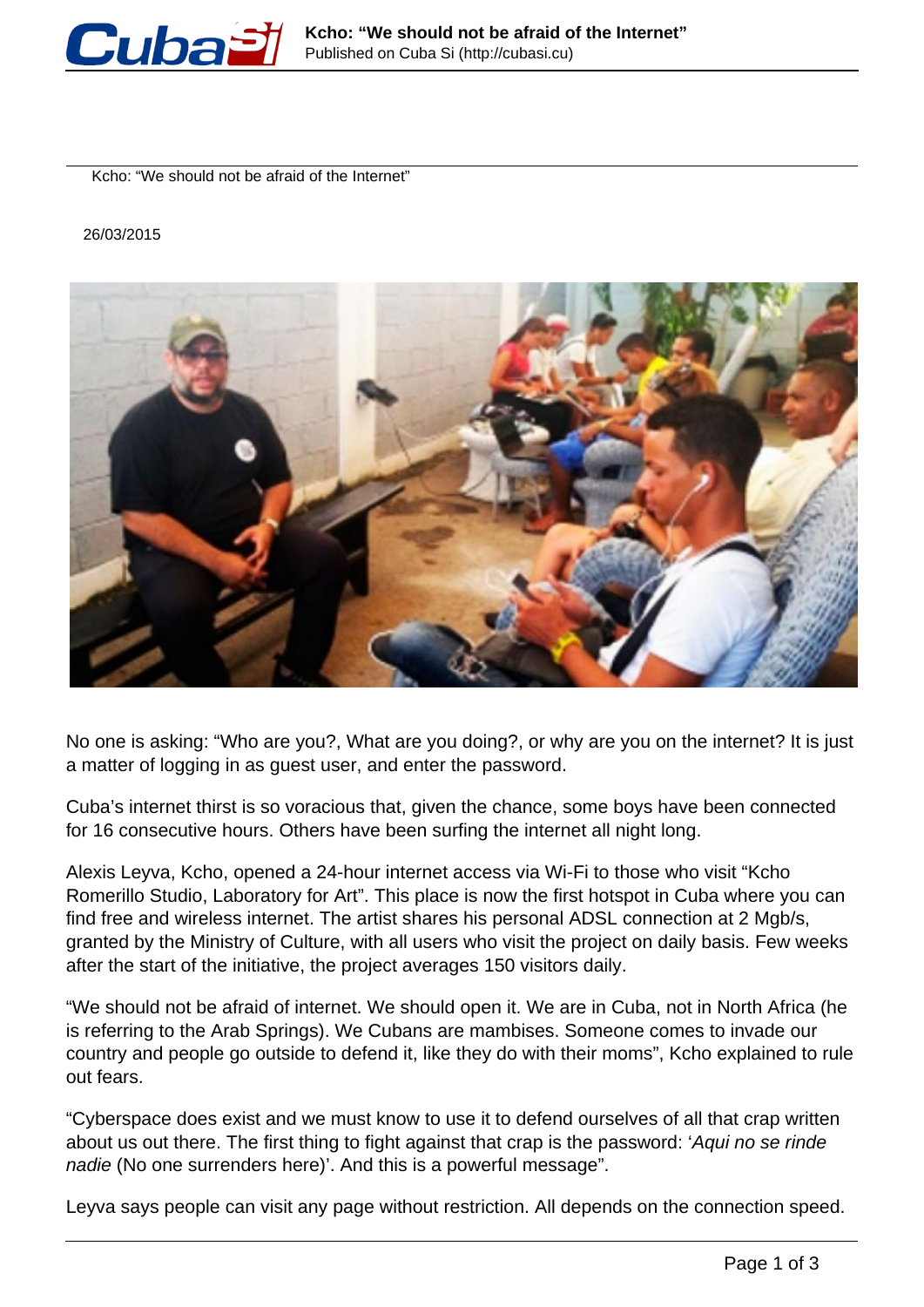

Kcho: "We should not be afraid of the Internet"

#### 26/03/2015



No one is asking: "Who are you?, What are you doing?, or why are you on the internet? It is just a matter of logging in as guest user, and enter the password.

Cuba's internet thirst is so voracious that, given the chance, some boys have been connected for 16 consecutive hours. Others have been surfing the internet all night long.

Alexis Leyva, Kcho, opened a 24-hour internet access via Wi-Fi to those who visit "Kcho Romerillo Studio, Laboratory for Art". This place is now the first hotspot in Cuba where you can find free and wireless internet. The artist shares his personal ADSL connection at 2 Mgb/s, granted by the Ministry of Culture, with all users who visit the project on daily basis. Few weeks after the start of the initiative, the project averages 150 visitors daily.

"We should not be afraid of internet. We should open it. We are in Cuba, not in North Africa (he is referring to the Arab Springs). We Cubans are mambises. Someone comes to invade our country and people go outside to defend it, like they do with their moms", Kcho explained to rule out fears.

"Cyberspace does exist and we must know to use it to defend ourselves of all that crap written about us out there. The first thing to fight against that crap is the password: 'Aqui no se rinde nadie (No one surrenders here)'. And this is a powerful message".

Leyva says people can visit any page without restriction. All depends on the connection speed.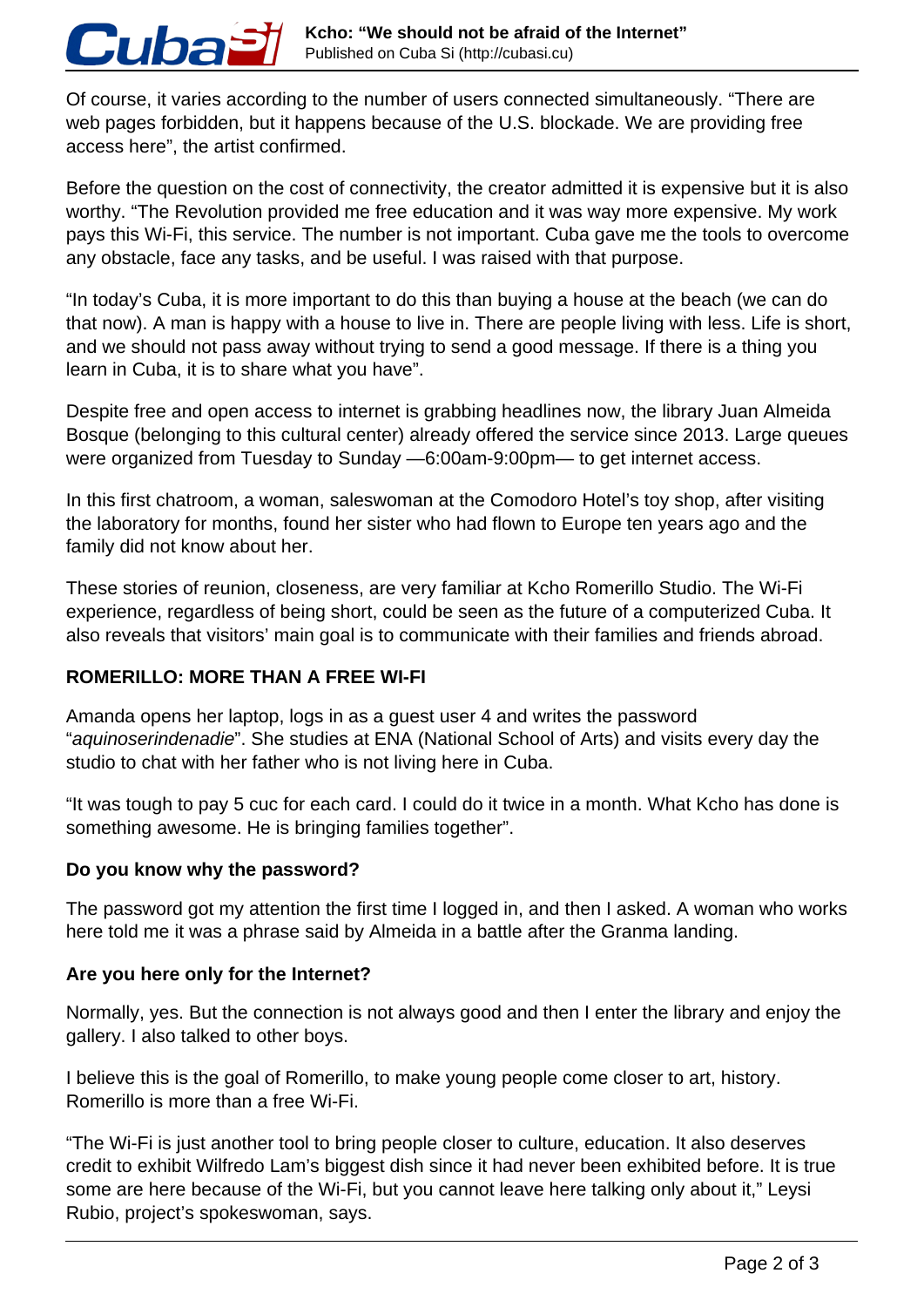Of course, it varies according to the number of users connected simultaneously. "There are web pages forbidden, but it happens because of the U.S. blockade. We are providing free access here", the artist confirmed.

Before the question on the cost of connectivity, the creator admitted it is expensive but it is also worthy. "The Revolution provided me free education and it was way more expensive. My work pays this Wi-Fi, this service. The number is not important. Cuba gave me the tools to overcome any obstacle, face any tasks, and be useful. I was raised with that purpose.

"In today's Cuba, it is more important to do this than buying a house at the beach (we can do that now). A man is happy with a house to live in. There are people living with less. Life is short, and we should not pass away without trying to send a good message. If there is a thing you learn in Cuba, it is to share what you have".

Despite free and open access to internet is grabbing headlines now, the library Juan Almeida Bosque (belonging to this cultural center) already offered the service since 2013. Large queues were organized from Tuesday to Sunday —6:00am-9:00pm— to get internet access.

In this first chatroom, a woman, saleswoman at the Comodoro Hotel's toy shop, after visiting the laboratory for months, found her sister who had flown to Europe ten years ago and the family did not know about her.

These stories of reunion, closeness, are very familiar at Kcho Romerillo Studio. The Wi-Fi experience, regardless of being short, could be seen as the future of a computerized Cuba. It also reveals that visitors' main goal is to communicate with their families and friends abroad.

# **ROMERILLO: MORE THAN A FREE WI-FI**

Cuba

Amanda opens her laptop, logs in as a guest user 4 and writes the password "aquinoserindenadie". She studies at ENA (National School of Arts) and visits every day the studio to chat with her father who is not living here in Cuba.

"It was tough to pay 5 cuc for each card. I could do it twice in a month. What Kcho has done is something awesome. He is bringing families together".

## **Do you know why the password?**

The password got my attention the first time I logged in, and then I asked. A woman who works here told me it was a phrase said by Almeida in a battle after the Granma landing.

## **Are you here only for the Internet?**

Normally, yes. But the connection is not always good and then I enter the library and enjoy the gallery. I also talked to other boys.

I believe this is the goal of Romerillo, to make young people come closer to art, history. Romerillo is more than a free Wi-Fi.

"The Wi-Fi is just another tool to bring people closer to culture, education. It also deserves credit to exhibit Wilfredo Lam's biggest dish since it had never been exhibited before. It is true some are here because of the Wi-Fi, but you cannot leave here talking only about it," Leysi Rubio, project's spokeswoman, says.